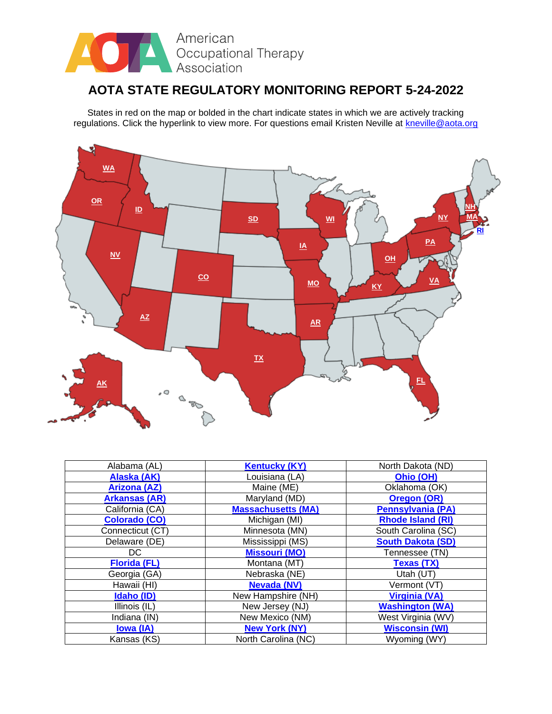

## **AOTA STATE REGULATORY MONITORING REPORT 5-24-2022**

States in red on the map or bolded in the chart indicate states in which we are actively tracking regulations. Click the hyperlink to view more. For questions email Kristen Neville at [kneville@aota.org](mailto:kneville@aota.org)



| Alabama (AL)         | <b>Kentucky (KY)</b>      | North Dakota (ND)        |
|----------------------|---------------------------|--------------------------|
| Alaska (AK)          | Louisiana (LA)            | Ohio (OH)                |
| <b>Arizona (AZ)</b>  | Maine (ME)                | Oklahoma (OK)            |
| <b>Arkansas (AR)</b> | Maryland (MD)             | <b>Oregon (OR)</b>       |
| California (CA)      | <b>Massachusetts (MA)</b> | <b>Pennsylvania (PA)</b> |
| <b>Colorado (CO)</b> | Michigan (MI)             | <b>Rhode Island (RI)</b> |
| Connecticut (CT)     | Minnesota (MN)            | South Carolina (SC)      |
| Delaware (DE)        | Mississippi (MS)          | <b>South Dakota (SD)</b> |
| DC.                  | <b>Missouri (MO)</b>      | Tennessee (TN)           |
| <b>Florida (FL)</b>  | Montana (MT)              | <b>Texas (TX)</b>        |
| Georgia (GA)         | Nebraska (NE)             | Utah (UT)                |
| Hawaii (HI)          | <b>Nevada (NV)</b>        | Vermont (VT)             |
| Idaho (ID)           | New Hampshire (NH)        | <b>Virginia (VA)</b>     |
| Illinois (IL)        | New Jersey (NJ)           | <b>Washington (WA)</b>   |
| Indiana (IN)         | New Mexico (NM)           | West Virginia (WV)       |
| lowa (IA)            | <b>New York (NY)</b>      | <b>Wisconsin (WI)</b>    |
| Kansas (KS)          | North Carolina (NC)       | Wyoming (WY)             |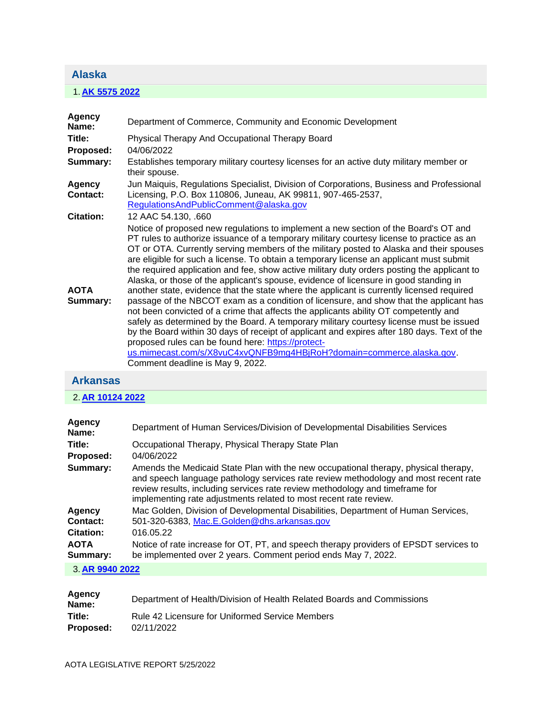#### <span id="page-1-0"></span>**Alaska**

## 1. **[AK 5575 2022](https://protect-us.mimecast.com/s/qbfwC31rQMsp9GqDHqYYuM?domain=custom.statenet.com)**

| <b>Agency</b><br>Name:  | Department of Commerce, Community and Economic Development                                                                                                                                                                                                                                                                                                                                                                                                                                                                                                                                                                                                                                                                                                                                                                                                                                                                                                                                                                                                                                                                                                                                                |
|-------------------------|-----------------------------------------------------------------------------------------------------------------------------------------------------------------------------------------------------------------------------------------------------------------------------------------------------------------------------------------------------------------------------------------------------------------------------------------------------------------------------------------------------------------------------------------------------------------------------------------------------------------------------------------------------------------------------------------------------------------------------------------------------------------------------------------------------------------------------------------------------------------------------------------------------------------------------------------------------------------------------------------------------------------------------------------------------------------------------------------------------------------------------------------------------------------------------------------------------------|
| Title:                  | Physical Therapy And Occupational Therapy Board                                                                                                                                                                                                                                                                                                                                                                                                                                                                                                                                                                                                                                                                                                                                                                                                                                                                                                                                                                                                                                                                                                                                                           |
| Proposed:               | 04/06/2022                                                                                                                                                                                                                                                                                                                                                                                                                                                                                                                                                                                                                                                                                                                                                                                                                                                                                                                                                                                                                                                                                                                                                                                                |
| Summary:                | Establishes temporary military courtesy licenses for an active duty military member or<br>their spouse.                                                                                                                                                                                                                                                                                                                                                                                                                                                                                                                                                                                                                                                                                                                                                                                                                                                                                                                                                                                                                                                                                                   |
| Agency<br>Contact:      | Jun Maiquis, Regulations Specialist, Division of Corporations, Business and Professional<br>Licensing, P.O. Box 110806, Juneau, AK 99811, 907-465-2537,<br>Regulations And Public Comment @alaska.gov                                                                                                                                                                                                                                                                                                                                                                                                                                                                                                                                                                                                                                                                                                                                                                                                                                                                                                                                                                                                     |
| <b>Citation:</b>        | 12 AAC 54.130, .660                                                                                                                                                                                                                                                                                                                                                                                                                                                                                                                                                                                                                                                                                                                                                                                                                                                                                                                                                                                                                                                                                                                                                                                       |
| <b>AOTA</b><br>Summary: | Notice of proposed new regulations to implement a new section of the Board's OT and<br>PT rules to authorize issuance of a temporary military courtesy license to practice as an<br>OT or OTA. Currently serving members of the military posted to Alaska and their spouses<br>are eligible for such a license. To obtain a temporary license an applicant must submit<br>the required application and fee, show active military duty orders posting the applicant to<br>Alaska, or those of the applicant's spouse, evidence of licensure in good standing in<br>another state, evidence that the state where the applicant is currently licensed required<br>passage of the NBCOT exam as a condition of licensure, and show that the applicant has<br>not been convicted of a crime that affects the applicants ability OT competently and<br>safely as determined by the Board. A temporary military courtesy license must be issued<br>by the Board within 30 days of receipt of applicant and expires after 180 days. Text of the<br>proposed rules can be found here: https://protect-<br>us.mimecast.com/s/X8vuC4xvQNFB9mg4HBjRoH?domain=commerce.alaska.gov.<br>Comment deadline is May 9, 2022. |

## <span id="page-1-1"></span>**Arkansas**

## 2. **[AR 10124 2022](https://protect-us.mimecast.com/s/iVDaC5ywQOCZpxEkt2uP-x?domain=custom.statenet.com)**

| Agency<br>Name:         | Department of Human Services/Division of Developmental Disabilities Services                                                                                                                                                                                                                                                    |
|-------------------------|---------------------------------------------------------------------------------------------------------------------------------------------------------------------------------------------------------------------------------------------------------------------------------------------------------------------------------|
| Title:                  | Occupational Therapy, Physical Therapy State Plan                                                                                                                                                                                                                                                                               |
| Proposed:               | 04/06/2022                                                                                                                                                                                                                                                                                                                      |
| Summary:                | Amends the Medicaid State Plan with the new occupational therapy, physical therapy,<br>and speech language pathology services rate review methodology and most recent rate<br>review results, including services rate review methodology and timeframe for<br>implementing rate adjustments related to most recent rate review. |
| Agency                  | Mac Golden, Division of Developmental Disabilities, Department of Human Services,                                                                                                                                                                                                                                               |
| Contact:                | 501-320-6383, Mac.E.Golden@dhs.arkansas.gov                                                                                                                                                                                                                                                                                     |
| <b>Citation:</b>        | 016.05.22                                                                                                                                                                                                                                                                                                                       |
| <b>AOTA</b><br>Summary: | Notice of rate increase for OT, PT, and speech therapy providers of EPSDT services to<br>be implemented over 2 years. Comment period ends May 7, 2022.                                                                                                                                                                          |
|                         |                                                                                                                                                                                                                                                                                                                                 |

#### 3. **[AR 9940 2022](https://protect-us.mimecast.com/s/47eJC68xXPsr01zLcxX4CK?domain=custom.statenet.com)**

| Agency<br>Name:     | Department of Health/Division of Health Related Boards and Commissions |
|---------------------|------------------------------------------------------------------------|
| Title:<br>Proposed: | Rule 42 Licensure for Uniformed Service Members<br>02/11/2022          |
|                     |                                                                        |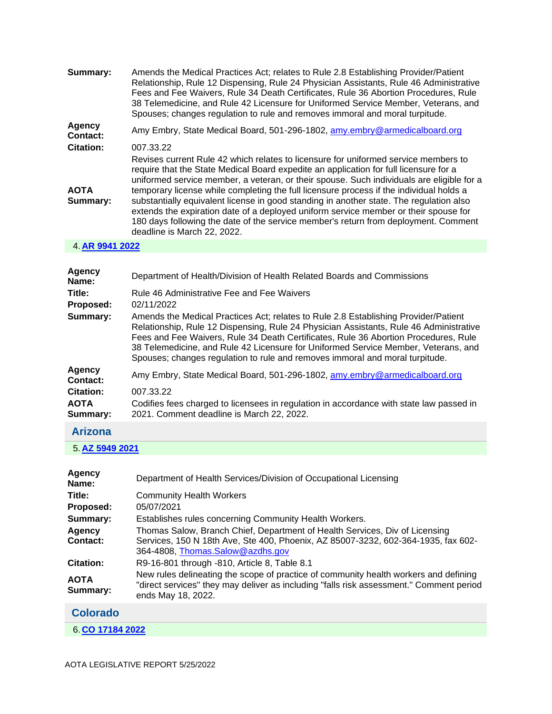| Summary:                | Amends the Medical Practices Act; relates to Rule 2.8 Establishing Provider/Patient<br>Relationship, Rule 12 Dispensing, Rule 24 Physician Assistants, Rule 46 Administrative<br>Fees and Fee Waivers, Rule 34 Death Certificates, Rule 36 Abortion Procedures, Rule<br>38 Telemedicine, and Rule 42 Licensure for Uniformed Service Member, Veterans, and<br>Spouses; changes regulation to rule and removes immoral and moral turpitude.                                                                                                                                                                                                                                    |
|-------------------------|-------------------------------------------------------------------------------------------------------------------------------------------------------------------------------------------------------------------------------------------------------------------------------------------------------------------------------------------------------------------------------------------------------------------------------------------------------------------------------------------------------------------------------------------------------------------------------------------------------------------------------------------------------------------------------|
| Agency<br>Contact:      | Amy Embry, State Medical Board, 501-296-1802, amy.embry@armedicalboard.org                                                                                                                                                                                                                                                                                                                                                                                                                                                                                                                                                                                                    |
| <b>Citation:</b>        | 007.33.22                                                                                                                                                                                                                                                                                                                                                                                                                                                                                                                                                                                                                                                                     |
| <b>AOTA</b><br>Summary: | Revises current Rule 42 which relates to licensure for uniformed service members to<br>require that the State Medical Board expedite an application for full licensure for a<br>uniformed service member, a veteran, or their spouse. Such individuals are eligible for a<br>temporary license while completing the full licensure process if the individual holds a<br>substantially equivalent license in good standing in another state. The regulation also<br>extends the expiration date of a deployed uniform service member or their spouse for<br>180 days following the date of the service member's return from deployment. Comment<br>deadline is March 22, 2022. |

#### 4. **[AR 9941 2022](https://protect-us.mimecast.com/s/OsDmC73y1QUAVQlGSRRwTS?domain=custom.statenet.com)**

| <b>Agency</b><br>Name:                      | Department of Health/Division of Health Related Boards and Commissions                                                                                                                                                                                                                                                                                                                                                                     |
|---------------------------------------------|--------------------------------------------------------------------------------------------------------------------------------------------------------------------------------------------------------------------------------------------------------------------------------------------------------------------------------------------------------------------------------------------------------------------------------------------|
| Title:                                      | Rule 46 Administrative Fee and Fee Waivers                                                                                                                                                                                                                                                                                                                                                                                                 |
| Proposed:                                   | 02/11/2022                                                                                                                                                                                                                                                                                                                                                                                                                                 |
| Summary:                                    | Amends the Medical Practices Act; relates to Rule 2.8 Establishing Provider/Patient<br>Relationship, Rule 12 Dispensing, Rule 24 Physician Assistants, Rule 46 Administrative<br>Fees and Fee Waivers, Rule 34 Death Certificates, Rule 36 Abortion Procedures, Rule<br>38 Telemedicine, and Rule 42 Licensure for Uniformed Service Member, Veterans, and<br>Spouses; changes regulation to rule and removes immoral and moral turpitude. |
| <b>Agency</b><br>Contact:                   | Amy Embry, State Medical Board, 501-296-1802, amy embry@armedicalboard.org                                                                                                                                                                                                                                                                                                                                                                 |
| <b>Citation:</b><br><b>AOTA</b><br>Summary: | 007.33.22<br>Codifies fees charged to licensees in regulation in accordance with state law passed in<br>2021. Comment deadline is March 22, 2022.                                                                                                                                                                                                                                                                                          |
|                                             |                                                                                                                                                                                                                                                                                                                                                                                                                                            |

## <span id="page-2-0"></span>**Arizona**

5. **[AZ 5949 2021](https://protect-us.mimecast.com/s/--KiC82z1RF6Pz1NizXy_Y?domain=custom.statenet.com)**

| Agency<br>Name:         | Department of Health Services/Division of Occupational Licensing                                                                                                                                      |
|-------------------------|-------------------------------------------------------------------------------------------------------------------------------------------------------------------------------------------------------|
| Title:                  | <b>Community Health Workers</b>                                                                                                                                                                       |
| Proposed:               | 05/07/2021                                                                                                                                                                                            |
| Summary:                | Establishes rules concerning Community Health Workers.                                                                                                                                                |
| Agency<br>Contact:      | Thomas Salow, Branch Chief, Department of Health Services, Div of Licensing<br>Services, 150 N 18th Ave, Ste 400, Phoenix, AZ 85007-3232, 602-364-1935, fax 602-<br>364-4808, Thomas.Salow@azdhs.gov  |
| <b>Citation:</b>        | R9-16-801 through -810, Article 8, Table 8.1                                                                                                                                                          |
| <b>AOTA</b><br>Summary: | New rules delineating the scope of practice of community health workers and defining<br>"direct services" they may deliver as including "falls risk assessment." Comment period<br>ends May 18, 2022. |
| <b>Colorado</b>         |                                                                                                                                                                                                       |

<span id="page-2-1"></span>6. **[CO 17184 2022](https://protect-us.mimecast.com/s/HMuFC9rA1VFkNMQ4SZQXbx?domain=custom.statenet.com)**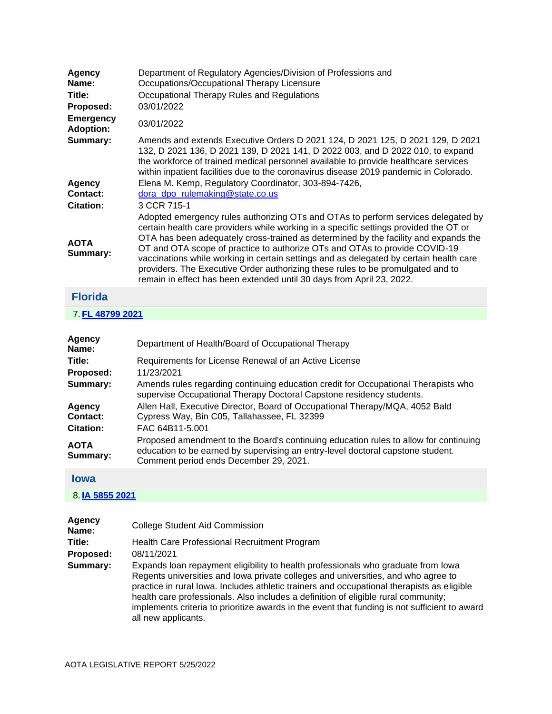| Agency<br>Name:                      | Department of Regulatory Agencies/Division of Professions and<br>Occupations/Occupational Therapy Licensure                                                                                                                                                                                                                                                                                                                                                                                                                                                                                           |
|--------------------------------------|-------------------------------------------------------------------------------------------------------------------------------------------------------------------------------------------------------------------------------------------------------------------------------------------------------------------------------------------------------------------------------------------------------------------------------------------------------------------------------------------------------------------------------------------------------------------------------------------------------|
| Title:                               | Occupational Therapy Rules and Regulations                                                                                                                                                                                                                                                                                                                                                                                                                                                                                                                                                            |
| Proposed:                            | 03/01/2022                                                                                                                                                                                                                                                                                                                                                                                                                                                                                                                                                                                            |
| <b>Emergency</b><br><b>Adoption:</b> | 03/01/2022                                                                                                                                                                                                                                                                                                                                                                                                                                                                                                                                                                                            |
| Summary:                             | Amends and extends Executive Orders D 2021 124, D 2021 125, D 2021 129, D 2021<br>132, D 2021 136, D 2021 139, D 2021 141, D 2022 003, and D 2022 010, to expand<br>the workforce of trained medical personnel available to provide healthcare services<br>within inpatient facilities due to the coronavirus disease 2019 pandemic in Colorado.                                                                                                                                                                                                                                                      |
| Agency<br>Contact:                   | Elena M. Kemp, Regulatory Coordinator, 303-894-7426,<br>dora_dpo_rulemaking@state.co.us                                                                                                                                                                                                                                                                                                                                                                                                                                                                                                               |
| <b>Citation:</b>                     | 3 CCR 715-1                                                                                                                                                                                                                                                                                                                                                                                                                                                                                                                                                                                           |
| <b>AOTA</b><br>Summary:              | Adopted emergency rules authorizing OTs and OTAs to perform services delegated by<br>certain health care providers while working in a specific settings provided the OT or<br>OTA has been adequately cross-trained as determined by the facility and expands the<br>OT and OTA scope of practice to authorize OTs and OTAs to provide COVID-19<br>vaccinations while working in certain settings and as delegated by certain health care<br>providers. The Executive Order authorizing these rules to be promulgated and to<br>remain in effect has been extended until 30 days from April 23, 2022. |
| Elerida                              |                                                                                                                                                                                                                                                                                                                                                                                                                                                                                                                                                                                                       |

# <span id="page-3-0"></span>**Florida**

|  |  |  | 7 FL 48799 2021 |  |  |  |  |
|--|--|--|-----------------|--|--|--|--|
|--|--|--|-----------------|--|--|--|--|

| Agency<br>Name:         | Department of Health/Board of Occupational Therapy                                                                                                                                                                |
|-------------------------|-------------------------------------------------------------------------------------------------------------------------------------------------------------------------------------------------------------------|
| Title:                  | Requirements for License Renewal of an Active License                                                                                                                                                             |
| Proposed:               | 11/23/2021                                                                                                                                                                                                        |
| Summary:                | Amends rules regarding continuing education credit for Occupational Therapists who<br>supervise Occupational Therapy Doctoral Capstone residency students.                                                        |
| Agency                  | Allen Hall, Executive Director, Board of Occupational Therapy/MQA, 4052 Bald                                                                                                                                      |
| Contact:                | Cypress Way, Bin C05, Tallahassee, FL 32399                                                                                                                                                                       |
| <b>Citation:</b>        | FAC 64B11-5.001                                                                                                                                                                                                   |
| <b>AOTA</b><br>Summary: | Proposed amendment to the Board's continuing education rules to allow for continuing<br>education to be earned by supervising an entry-level doctoral capstone student.<br>Comment period ends December 29, 2021. |

### <span id="page-3-1"></span>**Iowa**

#### 8. **[IA 5855 2021](https://protect-us.mimecast.com/s/0BpaCgJDZlhAwm9ES6cpDv?domain=custom.statenet.com)**

| Agency<br>Name: | <b>College Student Aid Commission</b>                                                                                                                                                                                                                                                                                                                                                                                                                                              |
|-----------------|------------------------------------------------------------------------------------------------------------------------------------------------------------------------------------------------------------------------------------------------------------------------------------------------------------------------------------------------------------------------------------------------------------------------------------------------------------------------------------|
| Title:          | Health Care Professional Recruitment Program                                                                                                                                                                                                                                                                                                                                                                                                                                       |
| Proposed:       | 08/11/2021                                                                                                                                                                                                                                                                                                                                                                                                                                                                         |
| Summary:        | Expands loan repayment eligibility to health professionals who graduate from lowa<br>Regents universities and lowa private colleges and universities, and who agree to<br>practice in rural lowa. Includes athletic trainers and occupational therapists as eligible<br>health care professionals. Also includes a definition of eligible rural community;<br>implements criteria to prioritize awards in the event that funding is not sufficient to award<br>all new applicants. |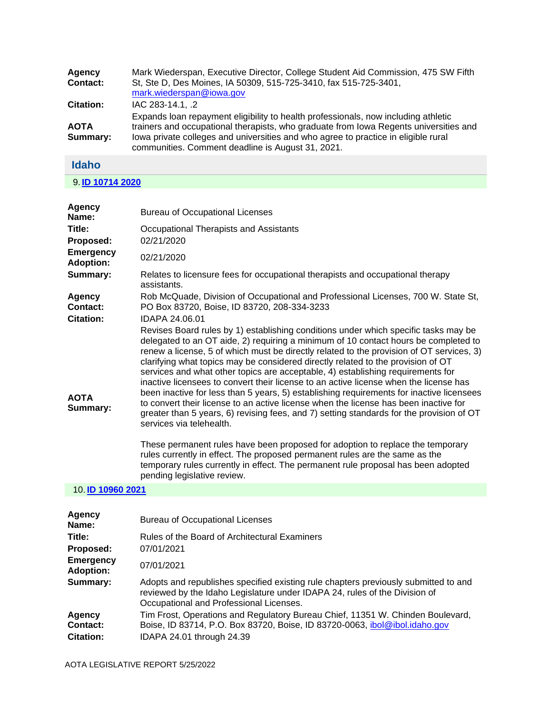| Agency<br><b>Contact:</b> | Mark Wiederspan, Executive Director, College Student Aid Commission, 475 SW Fifth<br>St, Ste D, Des Moines, IA 50309, 515-725-3410, fax 515-725-3401,<br>mark.wiederspan@iowa.gov                                                                                                                                      |
|---------------------------|------------------------------------------------------------------------------------------------------------------------------------------------------------------------------------------------------------------------------------------------------------------------------------------------------------------------|
| <b>Citation:</b>          | IAC 283-14.1, .2                                                                                                                                                                                                                                                                                                       |
| <b>AOTA</b><br>Summary:   | Expands loan repayment eligibility to health professionals, now including athletic<br>trainers and occupational therapists, who graduate from Iowa Regents universities and<br>lowa private colleges and universities and who agree to practice in eligible rural<br>communities. Comment deadline is August 31, 2021. |
| <b>Idaho</b>              |                                                                                                                                                                                                                                                                                                                        |

<span id="page-4-0"></span>9. **[ID 10714 2020](https://protect-us.mimecast.com/s/0z2ECjRgZocnG38oIg0FuP?domain=custom.statenet.com)**

| Agency<br>Name:                             | <b>Bureau of Occupational Licenses</b>                                                                                                                                                                                                                                                                                                                                                                                                                                                                                                                                                                                                                                                                                                                                                                                                                               |
|---------------------------------------------|----------------------------------------------------------------------------------------------------------------------------------------------------------------------------------------------------------------------------------------------------------------------------------------------------------------------------------------------------------------------------------------------------------------------------------------------------------------------------------------------------------------------------------------------------------------------------------------------------------------------------------------------------------------------------------------------------------------------------------------------------------------------------------------------------------------------------------------------------------------------|
| Title:<br>Proposed:                         | Occupational Therapists and Assistants<br>02/21/2020                                                                                                                                                                                                                                                                                                                                                                                                                                                                                                                                                                                                                                                                                                                                                                                                                 |
| <b>Emergency</b><br><b>Adoption:</b>        | 02/21/2020                                                                                                                                                                                                                                                                                                                                                                                                                                                                                                                                                                                                                                                                                                                                                                                                                                                           |
| Summary:                                    | Relates to licensure fees for occupational therapists and occupational therapy<br>assistants.                                                                                                                                                                                                                                                                                                                                                                                                                                                                                                                                                                                                                                                                                                                                                                        |
| Agency<br>Contact:                          | Rob McQuade, Division of Occupational and Professional Licenses, 700 W. State St,<br>PO Box 83720, Boise, ID 83720, 208-334-3233                                                                                                                                                                                                                                                                                                                                                                                                                                                                                                                                                                                                                                                                                                                                     |
| <b>Citation:</b><br><b>AOTA</b><br>Summary: | IDAPA 24.06.01<br>Revises Board rules by 1) establishing conditions under which specific tasks may be<br>delegated to an OT aide, 2) requiring a minimum of 10 contact hours be completed to<br>renew a license, 5 of which must be directly related to the provision of OT services, 3)<br>clarifying what topics may be considered directly related to the provision of OT<br>services and what other topics are acceptable, 4) establishing requirements for<br>inactive licensees to convert their license to an active license when the license has<br>been inactive for less than 5 years, 5) establishing requirements for inactive licensees<br>to convert their license to an active license when the license has been inactive for<br>greater than 5 years, 6) revising fees, and 7) setting standards for the provision of OT<br>services via telehealth. |
|                                             | These permanent rules have been proposed for adoption to replace the temporary<br>rules currently in effect. The proposed permanent rules are the same as the<br>temporary rules currently in effect. The permanent rule proposal has been adopted<br>pending legislative review.                                                                                                                                                                                                                                                                                                                                                                                                                                                                                                                                                                                    |
| 10. ID 10960 2021                           |                                                                                                                                                                                                                                                                                                                                                                                                                                                                                                                                                                                                                                                                                                                                                                                                                                                                      |
|                                             |                                                                                                                                                                                                                                                                                                                                                                                                                                                                                                                                                                                                                                                                                                                                                                                                                                                                      |

| Agency<br>Name:                        | <b>Bureau of Occupational Licenses</b>                                                                                                                                                                       |
|----------------------------------------|--------------------------------------------------------------------------------------------------------------------------------------------------------------------------------------------------------------|
| Title:                                 | Rules of the Board of Architectural Examiners                                                                                                                                                                |
| Proposed:                              | 07/01/2021                                                                                                                                                                                                   |
| <b>Emergency</b><br><b>Adoption:</b>   | 07/01/2021                                                                                                                                                                                                   |
| Summary:                               | Adopts and republishes specified existing rule chapters previously submitted to and<br>reviewed by the Idaho Legislature under IDAPA 24, rules of the Division of<br>Occupational and Professional Licenses. |
| Agency<br>Contact:<br><b>Citation:</b> | Tim Frost, Operations and Regulatory Bureau Chief, 11351 W. Chinden Boulevard,<br>Boise, ID 83714, P.O. Box 83720, Boise, ID 83720-0063, ibol@ibol.idaho.gov<br>IDAPA 24.01 through 24.39                    |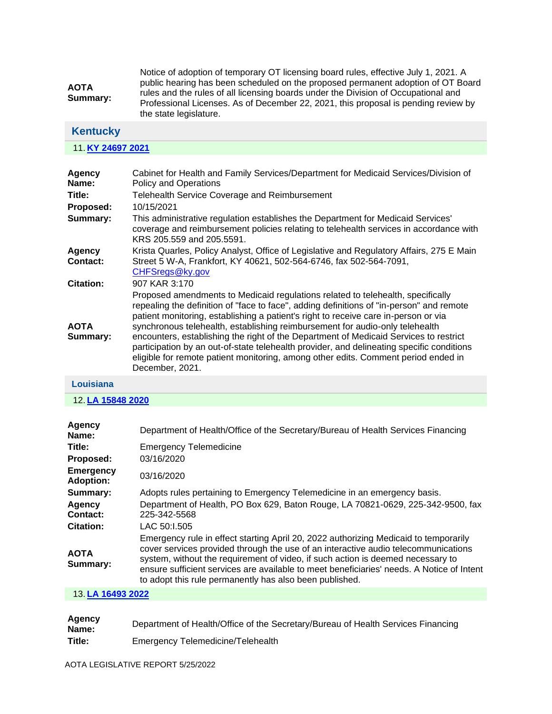| <b>AOTA</b><br>Summary: | Notice of adoption of temporary OT licensing board rules, effective July 1, 2021. A |
|-------------------------|-------------------------------------------------------------------------------------|
|                         | public hearing has been scheduled on the proposed permanent adoption of OT Board    |
|                         | rules and the rules of all licensing boards under the Division of Occupational and  |
|                         | Professional Licenses. As of December 22, 2021, this proposal is pending review by  |
|                         | the state legislature.                                                              |

# <span id="page-5-0"></span>**Kentucky**

#### 11. **[KY 24697 2021](https://protect-us.mimecast.com/s/yI3sClYkxqC2PAxRIlj-6y?domain=custom.statenet.com)**

| Cabinet for Health and Family Services/Department for Medicaid Services/Division of<br>Policy and Operations                                                                                                                                                                                                                                                                                                                                                                                                                                                                                                                                      |
|---------------------------------------------------------------------------------------------------------------------------------------------------------------------------------------------------------------------------------------------------------------------------------------------------------------------------------------------------------------------------------------------------------------------------------------------------------------------------------------------------------------------------------------------------------------------------------------------------------------------------------------------------|
| Telehealth Service Coverage and Reimbursement                                                                                                                                                                                                                                                                                                                                                                                                                                                                                                                                                                                                     |
| 10/15/2021                                                                                                                                                                                                                                                                                                                                                                                                                                                                                                                                                                                                                                        |
| This administrative regulation establishes the Department for Medicaid Services'<br>coverage and reimbursement policies relating to telehealth services in accordance with<br>KRS 205.559 and 205.5591.                                                                                                                                                                                                                                                                                                                                                                                                                                           |
| Krista Quarles, Policy Analyst, Office of Legislative and Regulatory Affairs, 275 E Main<br>Street 5 W-A, Frankfort, KY 40621, 502-564-6746, fax 502-564-7091,<br>CHFSregs@ky.gov                                                                                                                                                                                                                                                                                                                                                                                                                                                                 |
| 907 KAR 3:170                                                                                                                                                                                                                                                                                                                                                                                                                                                                                                                                                                                                                                     |
| Proposed amendments to Medicaid regulations related to telehealth, specifically<br>repealing the definition of "face to face", adding definitions of "in-person" and remote<br>patient monitoring, establishing a patient's right to receive care in-person or via<br>synchronous telehealth, establishing reimbursement for audio-only telehealth<br>encounters, establishing the right of the Department of Medicaid Services to restrict<br>participation by an out-of-state telehealth provider, and delineating specific conditions<br>eligible for remote patient monitoring, among other edits. Comment period ended in<br>December, 2021. |
|                                                                                                                                                                                                                                                                                                                                                                                                                                                                                                                                                                                                                                                   |

#### **Louisiana**

12. **[LA 15848 2020](https://protect-us.mimecast.com/s/z533CmZ0OrhjPAzySMFzpM?domain=custom.statenet.com)**

| Department of Health/Office of the Secretary/Bureau of Health Services Financing                                                                                                                                                                                                                                                                                                                                      |
|-----------------------------------------------------------------------------------------------------------------------------------------------------------------------------------------------------------------------------------------------------------------------------------------------------------------------------------------------------------------------------------------------------------------------|
| <b>Emergency Telemedicine</b>                                                                                                                                                                                                                                                                                                                                                                                         |
| 03/16/2020                                                                                                                                                                                                                                                                                                                                                                                                            |
| 03/16/2020                                                                                                                                                                                                                                                                                                                                                                                                            |
| Adopts rules pertaining to Emergency Telemedicine in an emergency basis.                                                                                                                                                                                                                                                                                                                                              |
| Department of Health, PO Box 629, Baton Rouge, LA 70821-0629, 225-342-9500, fax<br>225-342-5568                                                                                                                                                                                                                                                                                                                       |
| LAC 50:1.505                                                                                                                                                                                                                                                                                                                                                                                                          |
| Emergency rule in effect starting April 20, 2022 authorizing Medicaid to temporarily<br>cover services provided through the use of an interactive audio telecommunications<br>system, without the requirement of video, if such action is deemed necessary to<br>ensure sufficient services are available to meet beneficiaries' needs. A Notice of Intent<br>to adopt this rule permanently has also been published. |
|                                                                                                                                                                                                                                                                                                                                                                                                                       |

#### 13. **[LA 16493 2022](https://protect-us.mimecast.com/s/TtLCCn5mxvH73Kv9tM9jia?domain=custom.statenet.com)**

| Agency<br>Name: | Department of Health/Office of the Secretary/Bureau of Health Services Financing |
|-----------------|----------------------------------------------------------------------------------|
| Title:          | Emergency Telemedicine/Telehealth                                                |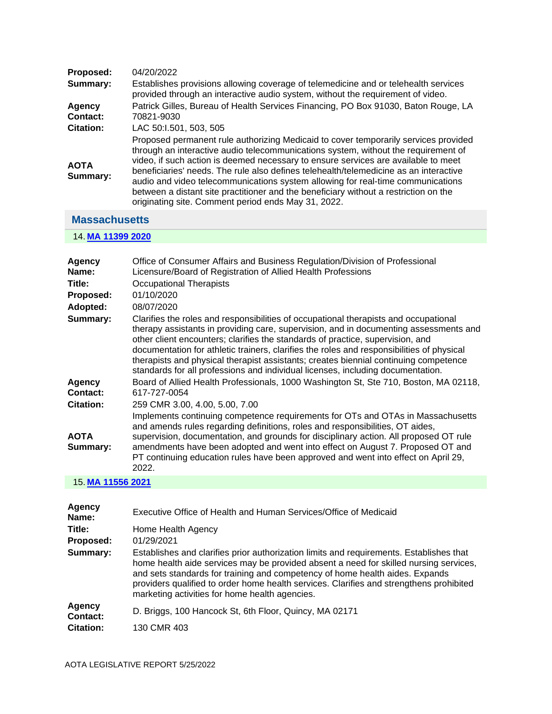| Proposed:               | 04/20/2022                                                                                                                                                                                                                                                                                                                                                                                                                                                                                                                                                                                 |
|-------------------------|--------------------------------------------------------------------------------------------------------------------------------------------------------------------------------------------------------------------------------------------------------------------------------------------------------------------------------------------------------------------------------------------------------------------------------------------------------------------------------------------------------------------------------------------------------------------------------------------|
| Summary:                | Establishes provisions allowing coverage of telemedicine and or telehealth services<br>provided through an interactive audio system, without the requirement of video.                                                                                                                                                                                                                                                                                                                                                                                                                     |
| Agency                  | Patrick Gilles, Bureau of Health Services Financing, PO Box 91030, Baton Rouge, LA                                                                                                                                                                                                                                                                                                                                                                                                                                                                                                         |
| Contact:                | 70821-9030                                                                                                                                                                                                                                                                                                                                                                                                                                                                                                                                                                                 |
| <b>Citation:</b>        | LAC 50:1.501, 503, 505                                                                                                                                                                                                                                                                                                                                                                                                                                                                                                                                                                     |
| <b>AOTA</b><br>Summary: | Proposed permanent rule authorizing Medicaid to cover temporarily services provided<br>through an interactive audio telecommunications system, without the requirement of<br>video, if such action is deemed necessary to ensure services are available to meet<br>beneficiaries' needs. The rule also defines telehealth/telemedicine as an interactive<br>audio and video telecommunications system allowing for real-time communications<br>between a distant site practitioner and the beneficiary without a restriction on the<br>originating site. Comment period ends May 31, 2022. |

## <span id="page-6-0"></span>**Massachusetts**

#### 14. **[MA 11399 2020](https://protect-us.mimecast.com/s/n9FQCo2nVwFrPBE2cBAsQe?domain=custom.statenet.com)**

| Agency<br>Name:<br>Title:<br>Proposed:<br>Adopted:<br>Summary: | Office of Consumer Affairs and Business Regulation/Division of Professional<br>Licensure/Board of Registration of Allied Health Professions<br><b>Occupational Therapists</b><br>01/10/2020<br>08/07/2020<br>Clarifies the roles and responsibilities of occupational therapists and occupational<br>therapy assistants in providing care, supervision, and in documenting assessments and                                                     |
|----------------------------------------------------------------|------------------------------------------------------------------------------------------------------------------------------------------------------------------------------------------------------------------------------------------------------------------------------------------------------------------------------------------------------------------------------------------------------------------------------------------------|
| Agency                                                         | other client encounters; clarifies the standards of practice, supervision, and<br>documentation for athletic trainers, clarifies the roles and responsibilities of physical<br>therapists and physical therapist assistants; creates biennial continuing competence<br>standards for all professions and individual licenses, including documentation.<br>Board of Allied Health Professionals, 1000 Washington St, Ste 710, Boston, MA 02118, |
| Contact:                                                       | 617-727-0054                                                                                                                                                                                                                                                                                                                                                                                                                                   |
| <b>Citation:</b>                                               | 259 CMR 3.00, 4.00, 5.00, 7.00                                                                                                                                                                                                                                                                                                                                                                                                                 |
| <b>AOTA</b><br>Summary:                                        | Implements continuing competence requirements for OTs and OTAs in Massachusetts<br>and amends rules regarding definitions, roles and responsibilities, OT aides,<br>supervision, documentation, and grounds for disciplinary action. All proposed OT rule<br>amendments have been adopted and went into effect on August 7. Proposed OT and<br>PT continuing education rules have been approved and went into effect on April 29,<br>2022.     |

#### 15. **[MA 11556 2021](https://protect-us.mimecast.com/s/8gadCpYo8xCnOvm4I59F9H?domain=custom.statenet.com)**

| <b>Agency</b><br>Name: | Executive Office of Health and Human Services/Office of Medicaid                                                                                                                                                                                                                                                                                                                                              |
|------------------------|---------------------------------------------------------------------------------------------------------------------------------------------------------------------------------------------------------------------------------------------------------------------------------------------------------------------------------------------------------------------------------------------------------------|
| Title:                 | Home Health Agency                                                                                                                                                                                                                                                                                                                                                                                            |
| Proposed:              | 01/29/2021                                                                                                                                                                                                                                                                                                                                                                                                    |
| Summary:               | Establishes and clarifies prior authorization limits and requirements. Establishes that<br>home health aide services may be provided absent a need for skilled nursing services,<br>and sets standards for training and competency of home health aides. Expands<br>providers qualified to order home health services. Clarifies and strengthens prohibited<br>marketing activities for home health agencies. |
| Agency<br>Contact:     | D. Briggs, 100 Hancock St, 6th Floor, Quincy, MA 02171                                                                                                                                                                                                                                                                                                                                                        |
| <b>Citation:</b>       | 130 CMR 403                                                                                                                                                                                                                                                                                                                                                                                                   |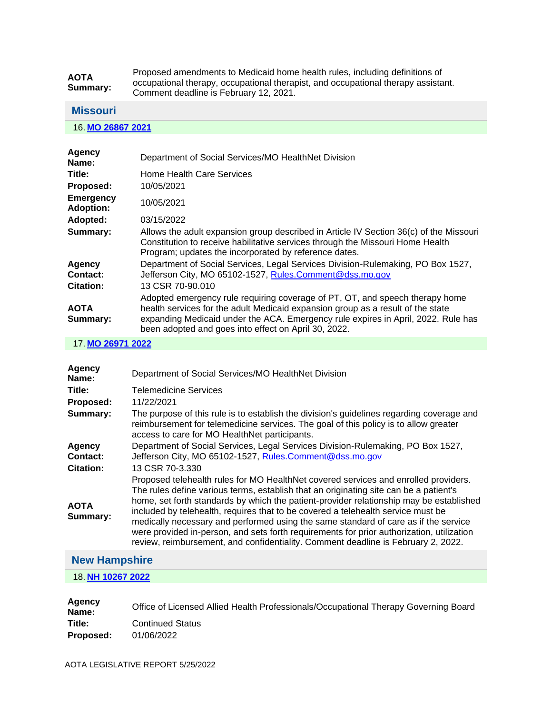| <b>AOTA</b><br>Summary: | Proposed amendments to Medicaid home health rules, including definitions of       |
|-------------------------|-----------------------------------------------------------------------------------|
|                         | occupational therapy, occupational therapist, and occupational therapy assistant. |
|                         | Comment deadline is February 12, 2021.                                            |

#### <span id="page-7-0"></span>**Missouri**

16. **[MO 26867 2021](https://protect-us.mimecast.com/s/fWvPCqxp7yF8kzZYsjhjiD?domain=custom.statenet.com)**

| <b>Agency</b><br>Name:               | Department of Social Services/MO HealthNet Division                                                                                                                                                                                                                                                          |
|--------------------------------------|--------------------------------------------------------------------------------------------------------------------------------------------------------------------------------------------------------------------------------------------------------------------------------------------------------------|
| Title:                               | Home Health Care Services                                                                                                                                                                                                                                                                                    |
| Proposed:                            | 10/05/2021                                                                                                                                                                                                                                                                                                   |
| <b>Emergency</b><br><b>Adoption:</b> | 10/05/2021                                                                                                                                                                                                                                                                                                   |
| Adopted:                             | 03/15/2022                                                                                                                                                                                                                                                                                                   |
| Summary:                             | Allows the adult expansion group described in Article IV Section 36(c) of the Missouri<br>Constitution to receive habilitative services through the Missouri Home Health<br>Program; updates the incorporated by reference dates.                                                                            |
| <b>Agency</b><br>Contact:            | Department of Social Services, Legal Services Division-Rulemaking, PO Box 1527,<br>Jefferson City, MO 65102-1527, Rules.Comment@dss.mo.gov                                                                                                                                                                   |
| <b>Citation:</b>                     | 13 CSR 70-90.010                                                                                                                                                                                                                                                                                             |
| <b>AOTA</b><br>Summary:              | Adopted emergency rule requiring coverage of PT, OT, and speech therapy home<br>health services for the adult Medicaid expansion group as a result of the state<br>expanding Medicaid under the ACA. Emergency rule expires in April, 2022. Rule has<br>been adopted and goes into effect on April 30, 2022. |

17. **[MO 26971 2022](https://protect-us.mimecast.com/s/F_83Crkq8zC8n1EQs2UzPY?domain=custom.statenet.com)**

| <b>Agency</b><br>Name:                 | Department of Social Services/MO HealthNet Division                                                                                                                                                                                                                                                                                                                                                                                                                                                                                                                                                                                  |
|----------------------------------------|--------------------------------------------------------------------------------------------------------------------------------------------------------------------------------------------------------------------------------------------------------------------------------------------------------------------------------------------------------------------------------------------------------------------------------------------------------------------------------------------------------------------------------------------------------------------------------------------------------------------------------------|
| Title:                                 | Telemedicine Services                                                                                                                                                                                                                                                                                                                                                                                                                                                                                                                                                                                                                |
| Proposed:                              | 11/22/2021                                                                                                                                                                                                                                                                                                                                                                                                                                                                                                                                                                                                                           |
| Summary:                               | The purpose of this rule is to establish the division's guidelines regarding coverage and<br>reimbursement for telemedicine services. The goal of this policy is to allow greater<br>access to care for MO HealthNet participants.                                                                                                                                                                                                                                                                                                                                                                                                   |
| Agency<br>Contact:<br><b>Citation:</b> | Department of Social Services, Legal Services Division-Rulemaking, PO Box 1527,<br>Jefferson City, MO 65102-1527, Rules.Comment@dss.mo.gov<br>13 CSR 70-3.330                                                                                                                                                                                                                                                                                                                                                                                                                                                                        |
| <b>AOTA</b><br>Summary:                | Proposed telehealth rules for MO HealthNet covered services and enrolled providers.<br>The rules define various terms, establish that an originating site can be a patient's<br>home, set forth standards by which the patient-provider relationship may be established<br>included by telehealth, requires that to be covered a telehealth service must be<br>medically necessary and performed using the same standard of care as if the service<br>were provided in-person, and sets forth requirements for prior authorization, utilization<br>review, reimbursement, and confidentiality. Comment deadline is February 2, 2022. |

## <span id="page-7-1"></span>**New Hampshire**

18. **[NH 10267 2022](https://protect-us.mimecast.com/s/pXDFCv2xlEF7L2xwtvK8dH?domain=custom.statenet.com)**

| <b>Agency</b><br>Name: | Office of Licensed Allied Health Professionals/Occupational Therapy Governing Board |
|------------------------|-------------------------------------------------------------------------------------|
| Title:                 | <b>Continued Status</b>                                                             |
| Proposed:              | 01/06/2022                                                                          |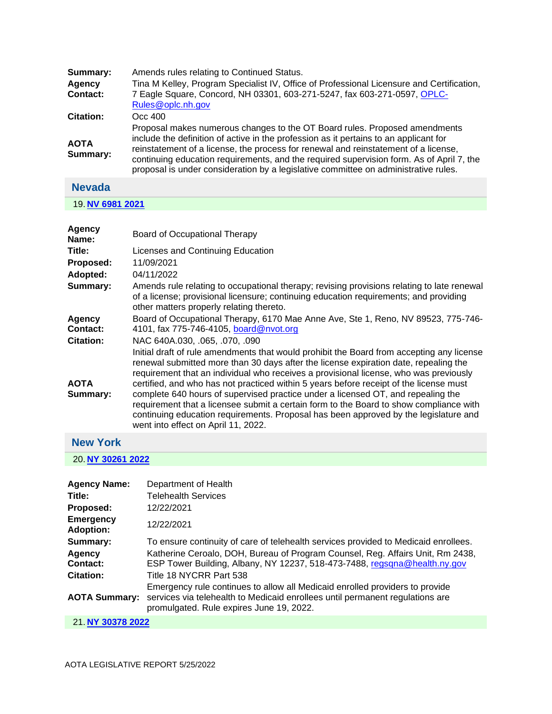| Summary:                | Amends rules relating to Continued Status.                                                                                                                                                                                                                                                                                                                                                                                                    |
|-------------------------|-----------------------------------------------------------------------------------------------------------------------------------------------------------------------------------------------------------------------------------------------------------------------------------------------------------------------------------------------------------------------------------------------------------------------------------------------|
| Agency<br>Contact:      | Tina M Kelley, Program Specialist IV, Office of Professional Licensure and Certification,<br>7 Eagle Square, Concord, NH 03301, 603-271-5247, fax 603-271-0597, OPLC-<br>Rules@oplc.nh.gov                                                                                                                                                                                                                                                    |
| <b>Citation:</b>        | Occ 400                                                                                                                                                                                                                                                                                                                                                                                                                                       |
| <b>AOTA</b><br>Summary: | Proposal makes numerous changes to the OT Board rules. Proposed amendments<br>include the definition of active in the profession as it pertains to an applicant for<br>reinstatement of a license, the process for renewal and reinstatement of a license,<br>continuing education requirements, and the required supervision form. As of April 7, the<br>proposal is under consideration by a legislative committee on administrative rules. |
|                         |                                                                                                                                                                                                                                                                                                                                                                                                                                               |

#### <span id="page-8-0"></span>**Nevada**

19. **[NV 6981 2021](https://protect-us.mimecast.com/s/5D2sCwpyVGsGVAKltmb5Ga?domain=custom.statenet.com)**

| Board of Occupational Therapy                                                                                                                                                                                                                                                                                                                                                                                                                                                                                                                                                                                                                                                     |
|-----------------------------------------------------------------------------------------------------------------------------------------------------------------------------------------------------------------------------------------------------------------------------------------------------------------------------------------------------------------------------------------------------------------------------------------------------------------------------------------------------------------------------------------------------------------------------------------------------------------------------------------------------------------------------------|
| Licenses and Continuing Education                                                                                                                                                                                                                                                                                                                                                                                                                                                                                                                                                                                                                                                 |
| 11/09/2021                                                                                                                                                                                                                                                                                                                                                                                                                                                                                                                                                                                                                                                                        |
| 04/11/2022                                                                                                                                                                                                                                                                                                                                                                                                                                                                                                                                                                                                                                                                        |
| Amends rule relating to occupational therapy; revising provisions relating to late renewal<br>of a license; provisional licensure; continuing education requirements; and providing<br>other matters properly relating thereto.                                                                                                                                                                                                                                                                                                                                                                                                                                                   |
| Board of Occupational Therapy, 6170 Mae Anne Ave, Ste 1, Reno, NV 89523, 775-746-<br>4101, fax 775-746-4105, board@nvot.org                                                                                                                                                                                                                                                                                                                                                                                                                                                                                                                                                       |
| NAC 640A.030, .065, .070, .090                                                                                                                                                                                                                                                                                                                                                                                                                                                                                                                                                                                                                                                    |
| Initial draft of rule amendments that would prohibit the Board from accepting any license<br>renewal submitted more than 30 days after the license expiration date, repealing the<br>requirement that an individual who receives a provisional license, who was previously<br>certified, and who has not practiced within 5 years before receipt of the license must<br>complete 640 hours of supervised practice under a licensed OT, and repealing the<br>requirement that a licensee submit a certain form to the Board to show compliance with<br>continuing education requirements. Proposal has been approved by the legislature and<br>went into effect on April 11, 2022. |
|                                                                                                                                                                                                                                                                                                                                                                                                                                                                                                                                                                                                                                                                                   |

## <span id="page-8-1"></span>**New York**

20. **[NY 30261 2022](https://protect-us.mimecast.com/s/Ty1WCxkznJC1R9kEHDmMSR?domain=custom.statenet.com)**

| <b>Agency Name:</b>                  | Department of Health                                                                                                                                                                                      |
|--------------------------------------|-----------------------------------------------------------------------------------------------------------------------------------------------------------------------------------------------------------|
| Title:                               | <b>Telehealth Services</b>                                                                                                                                                                                |
| Proposed:                            | 12/22/2021                                                                                                                                                                                                |
| <b>Emergency</b><br><b>Adoption:</b> | 12/22/2021                                                                                                                                                                                                |
| Summary:                             | To ensure continuity of care of telehealth services provided to Medicaid enrollees.                                                                                                                       |
| Agency<br>Contact:                   | Katherine Ceroalo, DOH, Bureau of Program Counsel, Reg. Affairs Unit, Rm 2438,<br>ESP Tower Building, Albany, NY 12237, 518-473-7488, regsqna@health.ny.gov                                               |
| <b>Citation:</b>                     | Title 18 NYCRR Part 538                                                                                                                                                                                   |
| <b>AOTA Summary:</b>                 | Emergency rule continues to allow all Medicaid enrolled providers to provide<br>services via telehealth to Medicaid enrollees until permanent regulations are<br>promulgated. Rule expires June 19, 2022. |
|                                      |                                                                                                                                                                                                           |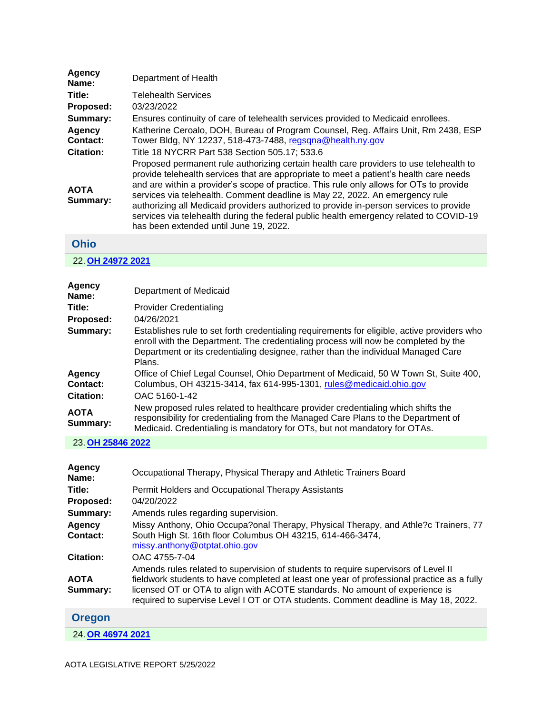| Department of Health                                                                                                                                                                                                                                                                                                                                                                                                                                                                                                                                                                      |
|-------------------------------------------------------------------------------------------------------------------------------------------------------------------------------------------------------------------------------------------------------------------------------------------------------------------------------------------------------------------------------------------------------------------------------------------------------------------------------------------------------------------------------------------------------------------------------------------|
| <b>Telehealth Services</b>                                                                                                                                                                                                                                                                                                                                                                                                                                                                                                                                                                |
| 03/23/2022                                                                                                                                                                                                                                                                                                                                                                                                                                                                                                                                                                                |
| Ensures continuity of care of telehealth services provided to Medicaid enrollees.                                                                                                                                                                                                                                                                                                                                                                                                                                                                                                         |
| Katherine Ceroalo, DOH, Bureau of Program Counsel, Reg. Affairs Unit, Rm 2438, ESP<br>Tower Bldg, NY 12237, 518-473-7488, regsqna@health.ny.gov                                                                                                                                                                                                                                                                                                                                                                                                                                           |
| Title 18 NYCRR Part 538 Section 505.17; 533.6                                                                                                                                                                                                                                                                                                                                                                                                                                                                                                                                             |
| Proposed permanent rule authorizing certain health care providers to use telehealth to<br>provide telehealth services that are appropriate to meet a patient's health care needs<br>and are within a provider's scope of practice. This rule only allows for OTs to provide<br>services via telehealth. Comment deadline is May 22, 2022. An emergency rule<br>authorizing all Medicaid providers authorized to provide in-person services to provide<br>services via telehealth during the federal public health emergency related to COVID-19<br>has been extended until June 19, 2022. |
|                                                                                                                                                                                                                                                                                                                                                                                                                                                                                                                                                                                           |

## <span id="page-9-0"></span>**Ohio**

### 22. **[OH 24972 2021](https://protect-us.mimecast.com/s/91iWCzp4vLsMwx6WHvS76z?domain=custom.statenet.com)**

| Agency<br>Name:         | Department of Medicaid                                                                                                                                                                                                                                                           |
|-------------------------|----------------------------------------------------------------------------------------------------------------------------------------------------------------------------------------------------------------------------------------------------------------------------------|
| Title:                  | <b>Provider Credentialing</b>                                                                                                                                                                                                                                                    |
| Proposed:               | 04/26/2021                                                                                                                                                                                                                                                                       |
| Summary:                | Establishes rule to set forth credentialing requirements for eligible, active providers who<br>enroll with the Department. The credentialing process will now be completed by the<br>Department or its credentialing designee, rather than the individual Managed Care<br>Plans. |
| <b>Agency</b>           | Office of Chief Legal Counsel, Ohio Department of Medicaid, 50 W Town St, Suite 400,                                                                                                                                                                                             |
| Contact:                | Columbus, OH 43215-3414, fax 614-995-1301, rules@medicaid.ohio.gov                                                                                                                                                                                                               |
| <b>Citation:</b>        | OAC 5160-1-42                                                                                                                                                                                                                                                                    |
| <b>AOTA</b><br>Summary: | New proposed rules related to healthcare provider credentialing which shifts the<br>responsibility for credentialing from the Managed Care Plans to the Department of<br>Medicaid. Credentialing is mandatory for OTs, but not mandatory for OTAs.                               |

#### 23. **[OH 25846 2022](https://protect-us.mimecast.com/s/KiqmCADXN0INln4pfZxkvW?domain=custom.statenet.com)**

| <b>Agency</b><br>Name:    | Occupational Therapy, Physical Therapy and Athletic Trainers Board                                                                                                                                                                                                |
|---------------------------|-------------------------------------------------------------------------------------------------------------------------------------------------------------------------------------------------------------------------------------------------------------------|
| Title:                    | Permit Holders and Occupational Therapy Assistants                                                                                                                                                                                                                |
| Proposed:                 | 04/20/2022                                                                                                                                                                                                                                                        |
| Summary:                  | Amends rules regarding supervision.                                                                                                                                                                                                                               |
| <b>Agency</b><br>Contact: | Missy Anthony, Ohio Occupa?onal Therapy, Physical Therapy, and Athle?c Trainers, 77<br>South High St. 16th floor Columbus OH 43215, 614-466-3474,<br>missy.anthony@otptat.ohio.gov                                                                                |
| <b>Citation:</b>          | OAC 4755-7-04<br>Amends rules related to supervision of students to require supervisors of Level II                                                                                                                                                               |
| <b>AOTA</b><br>Summary:   | fieldwork students to have completed at least one year of professional practice as a fully<br>licensed OT or OTA to align with ACOTE standards. No amount of experience is<br>required to supervise Level I OT or OTA students. Comment deadline is May 18, 2022. |
| <b>Oregon</b>             |                                                                                                                                                                                                                                                                   |

<span id="page-9-1"></span>24. **[OR 46974 2021](https://protect-us.mimecast.com/s/PIS8CBBXNkc7RMjWtVU2_P?domain=custom.statenet.com)**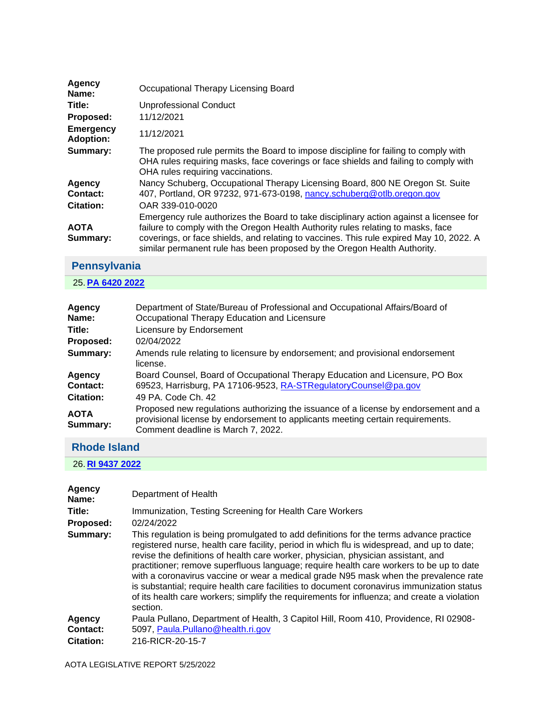| Agency<br>Name:                      | Occupational Therapy Licensing Board                                                                                                                                                                                                                                                                                                              |
|--------------------------------------|---------------------------------------------------------------------------------------------------------------------------------------------------------------------------------------------------------------------------------------------------------------------------------------------------------------------------------------------------|
| Title:                               | Unprofessional Conduct                                                                                                                                                                                                                                                                                                                            |
| Proposed:                            | 11/12/2021                                                                                                                                                                                                                                                                                                                                        |
| <b>Emergency</b><br><b>Adoption:</b> | 11/12/2021                                                                                                                                                                                                                                                                                                                                        |
| Summary:                             | The proposed rule permits the Board to impose discipline for failing to comply with<br>OHA rules requiring masks, face coverings or face shields and failing to comply with<br>OHA rules requiring vaccinations.                                                                                                                                  |
| Agency<br>Contact:                   | Nancy Schuberg, Occupational Therapy Licensing Board, 800 NE Oregon St. Suite<br>407, Portland, OR 97232, 971-673-0198, nancy.schuberg@otlb.oregon.gov                                                                                                                                                                                            |
| <b>Citation:</b>                     | OAR 339-010-0020                                                                                                                                                                                                                                                                                                                                  |
| <b>AOTA</b><br>Summary:              | Emergency rule authorizes the Board to take disciplinary action against a licensee for<br>failure to comply with the Oregon Health Authority rules relating to masks, face<br>coverings, or face shields, and relating to vaccines. This rule expired May 10, 2022. A<br>similar permanent rule has been proposed by the Oregon Health Authority. |

# <span id="page-10-0"></span>**Pennsylvania**

## 25. **[PA 6420 2022](https://protect-us.mimecast.com/s/7ZwICDkZ1mC5JnqYS3DJtr?domain=custom.statenet.com)**

| <b>Agency</b><br>Name:  | Department of State/Bureau of Professional and Occupational Affairs/Board of<br>Occupational Therapy Education and Licensure                                                                                |
|-------------------------|-------------------------------------------------------------------------------------------------------------------------------------------------------------------------------------------------------------|
| Title:                  | Licensure by Endorsement                                                                                                                                                                                    |
| Proposed:               | 02/04/2022                                                                                                                                                                                                  |
| Summary:                | Amends rule relating to licensure by endorsement; and provisional endorsement<br>license.                                                                                                                   |
| Agency                  | Board Counsel, Board of Occupational Therapy Education and Licensure, PO Box                                                                                                                                |
| Contact:                | 69523, Harrisburg, PA 17106-9523, RA-STRegulatory Counsel@pa.gov                                                                                                                                            |
| <b>Citation:</b>        | 49 PA. Code Ch. 42                                                                                                                                                                                          |
| <b>AOTA</b><br>Summary: | Proposed new regulations authorizing the issuance of a license by endorsement and a<br>provisional license by endorsement to applicants meeting certain requirements.<br>Comment deadline is March 7, 2022. |

## <span id="page-10-1"></span>**Rhode Island**

26. **[RI 9437 2022](https://protect-us.mimecast.com/s/-foZCERX8nc30gL4HEj2rp?domain=custom.statenet.com)**

| <b>Agency</b><br>Name: | Department of Health                                                                                                                                                                                                                                                                                                                                                                                                                                                                                                                                                                                                                                                  |
|------------------------|-----------------------------------------------------------------------------------------------------------------------------------------------------------------------------------------------------------------------------------------------------------------------------------------------------------------------------------------------------------------------------------------------------------------------------------------------------------------------------------------------------------------------------------------------------------------------------------------------------------------------------------------------------------------------|
| Title:                 | Immunization, Testing Screening for Health Care Workers                                                                                                                                                                                                                                                                                                                                                                                                                                                                                                                                                                                                               |
| Proposed:              | 02/24/2022                                                                                                                                                                                                                                                                                                                                                                                                                                                                                                                                                                                                                                                            |
| Summary:               | This regulation is being promulgated to add definitions for the terms advance practice<br>registered nurse, health care facility, period in which flu is widespread, and up to date;<br>revise the definitions of health care worker, physician, physician assistant, and<br>practitioner; remove superfluous language; require health care workers to be up to date<br>with a coronavirus vaccine or wear a medical grade N95 mask when the prevalence rate<br>is substantial; require health care facilities to document coronavirus immunization status<br>of its health care workers; simplify the requirements for influenza; and create a violation<br>section. |
| Agency                 | Paula Pullano, Department of Health, 3 Capitol Hill, Room 410, Providence, RI 02908-                                                                                                                                                                                                                                                                                                                                                                                                                                                                                                                                                                                  |
| Contact:               | 5097, Paula.Pullano@health.ri.gov                                                                                                                                                                                                                                                                                                                                                                                                                                                                                                                                                                                                                                     |
| <b>Citation:</b>       | 216-RICR-20-15-7                                                                                                                                                                                                                                                                                                                                                                                                                                                                                                                                                                                                                                                      |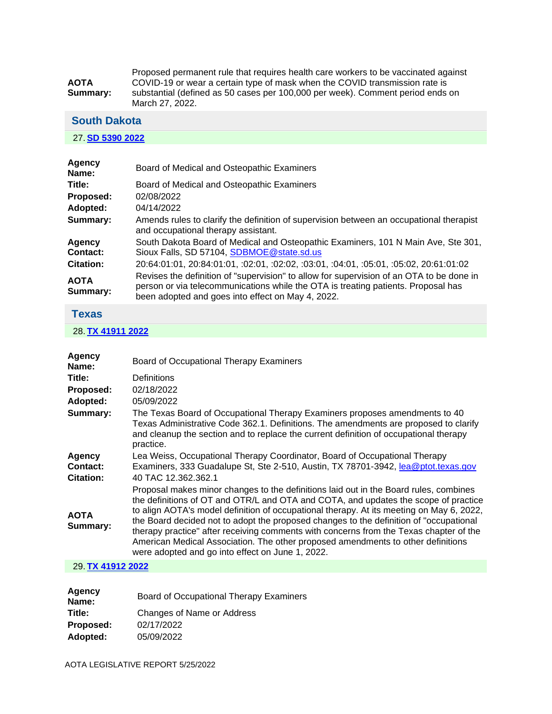|             | Proposed permanent rule that requires health care workers to be vaccinated against                |
|-------------|---------------------------------------------------------------------------------------------------|
| <b>AOTA</b> | COVID-19 or wear a certain type of mask when the COVID transmission rate is                       |
| Summarv:    | substantial (defined as 50 cases per 100,000 per week). Comment period ends on<br>March 27, 2022. |

#### <span id="page-11-0"></span>**South Dakota**

#### 27. **[SD 5390 2022](https://protect-us.mimecast.com/s/Ug4lCG6Xvph1O0k3Hqh_lo?domain=custom.statenet.com)**

| Agency<br>Name:         | Board of Medical and Osteopathic Examiners                                                                                                                                                                                         |
|-------------------------|------------------------------------------------------------------------------------------------------------------------------------------------------------------------------------------------------------------------------------|
| Title:                  | Board of Medical and Osteopathic Examiners                                                                                                                                                                                         |
| Proposed:               | 02/08/2022                                                                                                                                                                                                                         |
| Adopted:                | 04/14/2022                                                                                                                                                                                                                         |
| Summary:                | Amends rules to clarify the definition of supervision between an occupational therapist<br>and occupational therapy assistant.                                                                                                     |
| Agency<br>Contact:      | South Dakota Board of Medical and Osteopathic Examiners, 101 N Main Ave, Ste 301,<br>Sioux Falls, SD 57104, SDBMOE @state.sd.us                                                                                                    |
| <b>Citation:</b>        | 20:64:01:01, 20:84:01:01, :02:01, :02:02, :03:01, :04:01, :05:01, :05:02, 20:61:01:02                                                                                                                                              |
| <b>AOTA</b><br>Summary: | Revises the definition of "supervision" to allow for supervision of an OTA to be done in<br>person or via telecommunications while the OTA is treating patients. Proposal has<br>been adopted and goes into effect on May 4, 2022. |

## <span id="page-11-1"></span>**Texas**

#### 28. **[TX 41911 2022](https://protect-us.mimecast.com/s/4bvGCJ6KyvhqA1Z9tQ4qEk?domain=custom.statenet.com)**

| Agency<br>Name:                               | Board of Occupational Therapy Examiners                                                                                                                                                                                                                                                                                                                                                                                                                                                                                                                                                              |
|-----------------------------------------------|------------------------------------------------------------------------------------------------------------------------------------------------------------------------------------------------------------------------------------------------------------------------------------------------------------------------------------------------------------------------------------------------------------------------------------------------------------------------------------------------------------------------------------------------------------------------------------------------------|
| Title:                                        | Definitions                                                                                                                                                                                                                                                                                                                                                                                                                                                                                                                                                                                          |
| Proposed:                                     | 02/18/2022                                                                                                                                                                                                                                                                                                                                                                                                                                                                                                                                                                                           |
| Adopted:                                      | 05/09/2022                                                                                                                                                                                                                                                                                                                                                                                                                                                                                                                                                                                           |
| Summary:                                      | The Texas Board of Occupational Therapy Examiners proposes amendments to 40<br>Texas Administrative Code 362.1. Definitions. The amendments are proposed to clarify<br>and cleanup the section and to replace the current definition of occupational therapy<br>practice.                                                                                                                                                                                                                                                                                                                            |
| <b>Agency</b><br>Contact:<br><b>Citation:</b> | Lea Weiss, Occupational Therapy Coordinator, Board of Occupational Therapy<br>Examiners, 333 Guadalupe St, Ste 2-510, Austin, TX 78701-3942, lea@ptot.texas.gov<br>40 TAC 12.362.362.1                                                                                                                                                                                                                                                                                                                                                                                                               |
| <b>AOTA</b><br>Summary:                       | Proposal makes minor changes to the definitions laid out in the Board rules, combines<br>the definitions of OT and OTR/L and OTA and COTA, and updates the scope of practice<br>to align AOTA's model definition of occupational therapy. At its meeting on May 6, 2022,<br>the Board decided not to adopt the proposed changes to the definition of "occupational<br>therapy practice" after receiving comments with concerns from the Texas chapter of the<br>American Medical Association. The other proposed amendments to other definitions<br>were adopted and go into effect on June 1, 2022. |

#### 29. **[TX 41912 2022](https://protect-us.mimecast.com/s/NUIrCKr71wF2MBO7I1z0oD?domain=custom.statenet.com)**

| Agency<br>Name: | Board of Occupational Therapy Examiners |
|-----------------|-----------------------------------------|
| Title:          | Changes of Name or Address              |
| Proposed:       | 02/17/2022                              |
| Adopted:        | 05/09/2022                              |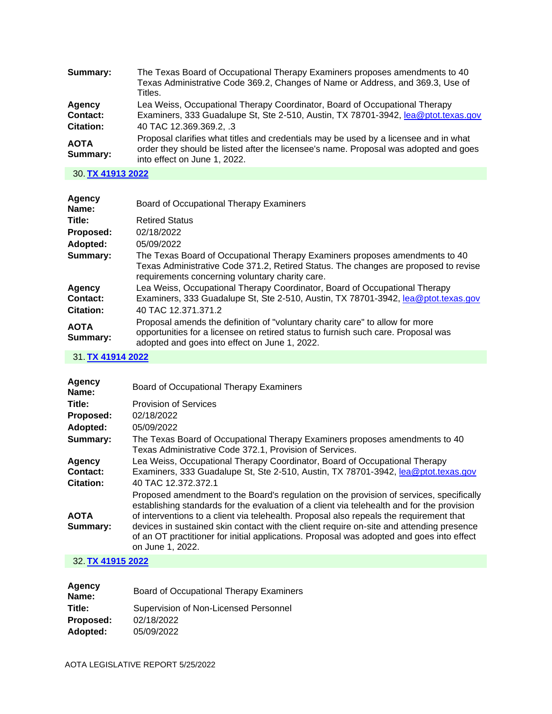| The Texas Board of Occupational Therapy Examiners proposes amendments to 40<br>Texas Administrative Code 369.2, Changes of Name or Address, and 369.3, Use of<br>Titles.                                                                |
|-----------------------------------------------------------------------------------------------------------------------------------------------------------------------------------------------------------------------------------------|
| Lea Weiss, Occupational Therapy Coordinator, Board of Occupational Therapy<br>Examiners, 333 Guadalupe St, Ste 2-510, Austin, TX 78701-3942, lea@ptot.texas.gov                                                                         |
| 40 TAC 12.369.369.2, .3<br>Proposal clarifies what titles and credentials may be used by a licensee and in what<br>order they should be listed after the licensee's name. Proposal was adopted and goes<br>into effect on June 1, 2022. |
|                                                                                                                                                                                                                                         |

#### 30. **[TX 41913 2022](https://protect-us.mimecast.com/s/wV96CL917xCRwmKBCpTxxg?domain=custom.statenet.com)**

| Agency<br>Name:         | Board of Occupational Therapy Examiners                                                                                                                                                                               |
|-------------------------|-----------------------------------------------------------------------------------------------------------------------------------------------------------------------------------------------------------------------|
| Title:                  | <b>Retired Status</b>                                                                                                                                                                                                 |
| Proposed:               | 02/18/2022                                                                                                                                                                                                            |
| Adopted:                | 05/09/2022                                                                                                                                                                                                            |
| Summary:                | The Texas Board of Occupational Therapy Examiners proposes amendments to 40<br>Texas Administrative Code 371.2, Retired Status. The changes are proposed to revise<br>requirements concerning voluntary charity care. |
| Agency                  | Lea Weiss, Occupational Therapy Coordinator, Board of Occupational Therapy                                                                                                                                            |
| Contact:                | Examiners, 333 Guadalupe St, Ste 2-510, Austin, TX 78701-3942, lea@ptot.texas.gov                                                                                                                                     |
| <b>Citation:</b>        | 40 TAC 12.371.371.2                                                                                                                                                                                                   |
| <b>AOTA</b><br>Summary: | Proposal amends the definition of "voluntary charity care" to allow for more<br>opportunities for a licensee on retired status to furnish such care. Proposal was<br>adopted and goes into effect on June 1, 2022.    |

#### 31. **[TX 41914 2022](https://protect-us.mimecast.com/s/JWaHCM8KwysqkRXBtyl4pN?domain=custom.statenet.com)**

| Agency<br>Name:                        | Board of Occupational Therapy Examiners                                                                                                                                                                                                                                                                                                                                                                                                                                                       |
|----------------------------------------|-----------------------------------------------------------------------------------------------------------------------------------------------------------------------------------------------------------------------------------------------------------------------------------------------------------------------------------------------------------------------------------------------------------------------------------------------------------------------------------------------|
| Title:                                 | <b>Provision of Services</b>                                                                                                                                                                                                                                                                                                                                                                                                                                                                  |
| Proposed:                              | 02/18/2022                                                                                                                                                                                                                                                                                                                                                                                                                                                                                    |
| Adopted:                               | 05/09/2022                                                                                                                                                                                                                                                                                                                                                                                                                                                                                    |
| Summary:                               | The Texas Board of Occupational Therapy Examiners proposes amendments to 40<br>Texas Administrative Code 372.1, Provision of Services.                                                                                                                                                                                                                                                                                                                                                        |
| Agency<br>Contact:<br><b>Citation:</b> | Lea Weiss, Occupational Therapy Coordinator, Board of Occupational Therapy<br>Examiners, 333 Guadalupe St, Ste 2-510, Austin, TX 78701-3942, lea@ptot.texas.gov<br>40 TAC 12.372.372.1                                                                                                                                                                                                                                                                                                        |
| <b>AOTA</b><br>Summary:                | Proposed amendment to the Board's regulation on the provision of services, specifically<br>establishing standards for the evaluation of a client via telehealth and for the provision<br>of interventions to a client via telehealth. Proposal also repeals the requirement that<br>devices in sustained skin contact with the client require on-site and attending presence<br>of an OT practitioner for initial applications. Proposal was adopted and goes into effect<br>on June 1, 2022. |
|                                        |                                                                                                                                                                                                                                                                                                                                                                                                                                                                                               |

#### 32. **[TX 41915 2022](https://protect-us.mimecast.com/s/-xVvCNkKLzC0PE7kTAHAPZ?domain=custom.statenet.com)**

| Agency<br>Name: | Board of Occupational Therapy Examiners |
|-----------------|-----------------------------------------|
| Title:          | Supervision of Non-Licensed Personnel   |
| Proposed:       | 02/18/2022                              |
| Adopted:        | 05/09/2022                              |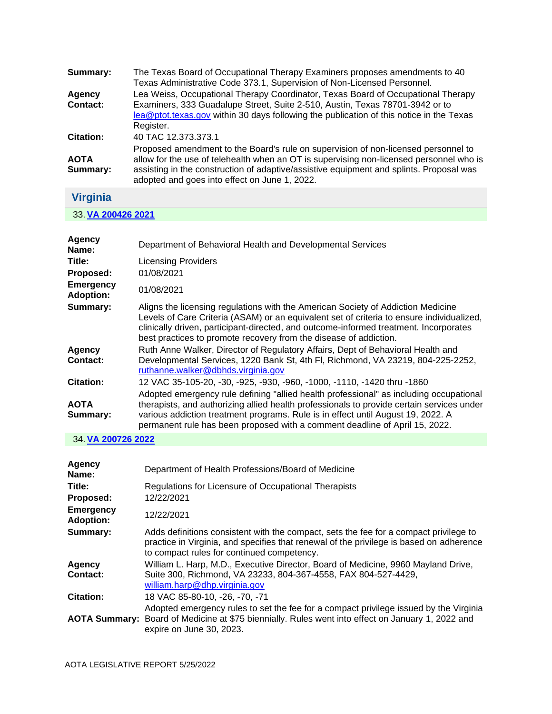| Summary:                | The Texas Board of Occupational Therapy Examiners proposes amendments to 40<br>Texas Administrative Code 373.1, Supervision of Non-Licensed Personnel.                                                                                                                                                                    |
|-------------------------|---------------------------------------------------------------------------------------------------------------------------------------------------------------------------------------------------------------------------------------------------------------------------------------------------------------------------|
| Agency<br>Contact:      | Lea Weiss, Occupational Therapy Coordinator, Texas Board of Occupational Therapy<br>Examiners, 333 Guadalupe Street, Suite 2-510, Austin, Texas 78701-3942 or to<br>lea@ptot.texas.gov within 30 days following the publication of this notice in the Texas<br>Register.                                                  |
| <b>Citation:</b>        | 40 TAC 12.373.373.1                                                                                                                                                                                                                                                                                                       |
| <b>AOTA</b><br>Summary: | Proposed amendment to the Board's rule on supervision of non-licensed personnel to<br>allow for the use of telehealth when an OT is supervising non-licensed personnel who is<br>assisting in the construction of adaptive/assistive equipment and splints. Proposal was<br>adopted and goes into effect on June 1, 2022. |
|                         |                                                                                                                                                                                                                                                                                                                           |

#### <span id="page-13-0"></span>**Virginia**

33. **[VA 200426 2021](https://protect-us.mimecast.com/s/FNp4COYXMACpZ0n1HQTJSv?domain=custom.statenet.com)**

| <b>Agency</b><br>Name:               | Department of Behavioral Health and Developmental Services                                                                                                                                                                                                                                                                                  |
|--------------------------------------|---------------------------------------------------------------------------------------------------------------------------------------------------------------------------------------------------------------------------------------------------------------------------------------------------------------------------------------------|
| Title:                               | <b>Licensing Providers</b>                                                                                                                                                                                                                                                                                                                  |
| Proposed:                            | 01/08/2021                                                                                                                                                                                                                                                                                                                                  |
| <b>Emergency</b><br><b>Adoption:</b> | 01/08/2021                                                                                                                                                                                                                                                                                                                                  |
| Summary:                             | Aligns the licensing regulations with the American Society of Addiction Medicine<br>Levels of Care Criteria (ASAM) or an equivalent set of criteria to ensure individualized,<br>clinically driven, participant-directed, and outcome-informed treatment. Incorporates<br>best practices to promote recovery from the disease of addiction. |
| Agency<br><b>Contact:</b>            | Ruth Anne Walker, Director of Regulatory Affairs, Dept of Behavioral Health and<br>Developmental Services, 1220 Bank St, 4th Fl, Richmond, VA 23219, 804-225-2252,<br>ruthanne.walker@dbhds.virginia.gov                                                                                                                                    |
| <b>Citation:</b>                     | 12 VAC 35-105-20, -30, -925, -930, -960, -1000, -1110, -1420 thru -1860<br>Adopted emergency rule defining "allied health professional" as including occupational                                                                                                                                                                           |
| <b>AOTA</b><br>Summary:              | therapists, and authorizing allied health professionals to provide certain services under<br>various addiction treatment programs. Rule is in effect until August 19, 2022. A<br>permanent rule has been proposed with a comment deadline of April 15, 2022.                                                                                |

## 34. **[VA 200726 2022](https://protect-us.mimecast.com/s/GKd8CPNK7BsKNoWzHKMAGB?domain=custom.statenet.com)**

| Agency<br>Name:                      | Department of Health Professions/Board of Medicine                                                                                                                                                                             |
|--------------------------------------|--------------------------------------------------------------------------------------------------------------------------------------------------------------------------------------------------------------------------------|
| Title:<br>Proposed:                  | Regulations for Licensure of Occupational Therapists<br>12/22/2021                                                                                                                                                             |
| <b>Emergency</b><br><b>Adoption:</b> | 12/22/2021                                                                                                                                                                                                                     |
| Summary:                             | Adds definitions consistent with the compact, sets the fee for a compact privilege to<br>practice in Virginia, and specifies that renewal of the privilege is based on adherence<br>to compact rules for continued competency. |
| Agency<br>Contact:                   | William L. Harp, M.D., Executive Director, Board of Medicine, 9960 Mayland Drive,<br>Suite 300, Richmond, VA 23233, 804-367-4558, FAX 804-527-4429,<br>william.harp@dhp.virginia.gov                                           |
| <b>Citation:</b>                     | 18 VAC 85-80-10, -26, -70, -71                                                                                                                                                                                                 |
|                                      | Adopted emergency rules to set the fee for a compact privilege issued by the Virginia<br>AOTA Summary: Board of Medicine at \$75 biennially. Rules went into effect on January 1, 2022 and<br>expire on June 30, 2023.         |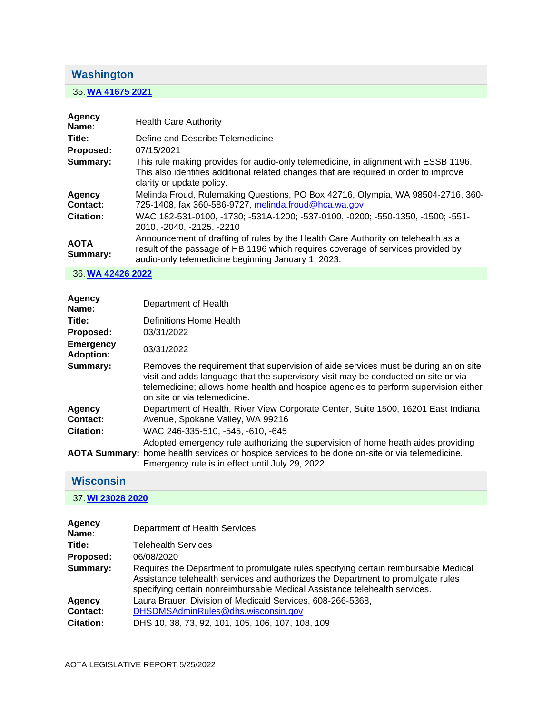# <span id="page-14-0"></span>**Washington**

## 35. **[WA 41675 2021](https://protect-us.mimecast.com/s/pEarCQWKnDSkl3OvSpgKb-?domain=custom.statenet.com)**

| <b>Agency</b><br>Name:    | <b>Health Care Authority</b>                                                                                                                                                                                                |
|---------------------------|-----------------------------------------------------------------------------------------------------------------------------------------------------------------------------------------------------------------------------|
| Title:                    | Define and Describe Telemedicine                                                                                                                                                                                            |
| Proposed:                 | 07/15/2021                                                                                                                                                                                                                  |
| Summary:                  | This rule making provides for audio-only telemedicine, in alignment with ESSB 1196.<br>This also identifies additional related changes that are required in order to improve<br>clarity or update policy.                   |
| <b>Agency</b><br>Contact: | Melinda Froud, Rulemaking Questions, PO Box 42716, Olympia, WA 98504-2716, 360-<br>725-1408, fax 360-586-9727, melinda.froud@hca.wa.gov                                                                                     |
| <b>Citation:</b>          | WAC 182-531-0100, -1730; -531A-1200; -537-0100, -0200; -550-1350, -1500; -551-<br>2010, -2040, -2125, -2210                                                                                                                 |
| <b>AOTA</b><br>Summary:   | Announcement of drafting of rules by the Health Care Authority on telehealth as a<br>result of the passage of HB 1196 which requires coverage of services provided by<br>audio-only telemedicine beginning January 1, 2023. |

36. **[WA 42426 2022](https://protect-us.mimecast.com/s/bCQ5CR6KOEhv0RE4tlC4s7?domain=custom.statenet.com)**

| Agency<br>Name:                      | Department of Health                                                                                                                                                                                                                                                                             |
|--------------------------------------|--------------------------------------------------------------------------------------------------------------------------------------------------------------------------------------------------------------------------------------------------------------------------------------------------|
| Title:                               | Definitions Home Health                                                                                                                                                                                                                                                                          |
| Proposed:                            | 03/31/2022                                                                                                                                                                                                                                                                                       |
| <b>Emergency</b><br><b>Adoption:</b> | 03/31/2022                                                                                                                                                                                                                                                                                       |
| Summary:                             | Removes the requirement that supervision of aide services must be during an on site<br>visit and adds language that the supervisory visit may be conducted on site or via<br>telemedicine; allows home health and hospice agencies to perform supervision either<br>on site or via telemedicine. |
| Agency                               | Department of Health, River View Corporate Center, Suite 1500, 16201 East Indiana                                                                                                                                                                                                                |
| Contact:                             | Avenue, Spokane Valley, WA 99216                                                                                                                                                                                                                                                                 |
| <b>Citation:</b>                     | WAC 246-335-510, -545, -610, -645                                                                                                                                                                                                                                                                |
|                                      | Adopted emergency rule authorizing the supervision of home heath aides providing<br>AOTA Summary: home health services or hospice services to be done on-site or via telemedicine.<br>Emergency rule is in effect until July 29, 2022.                                                           |
| $M! = -1$                            |                                                                                                                                                                                                                                                                                                  |

#### <span id="page-14-1"></span>**Wisconsin**

### 37. **[WI 23028 2020](https://protect-us.mimecast.com/s/7jN7CVO2ALtxk53qCnROuP?domain=custom.statenet.com)**

| Agency<br>Name:  | Department of Health Services                                                                                                                                                                                                                         |
|------------------|-------------------------------------------------------------------------------------------------------------------------------------------------------------------------------------------------------------------------------------------------------|
| Title:           | <b>Telehealth Services</b>                                                                                                                                                                                                                            |
| Proposed:        | 06/08/2020                                                                                                                                                                                                                                            |
| Summary:         | Requires the Department to promulgate rules specifying certain reimbursable Medical<br>Assistance telehealth services and authorizes the Department to promulgate rules<br>specifying certain nonreimbursable Medical Assistance telehealth services. |
| <b>Agency</b>    | Laura Brauer, Division of Medicaid Services, 608-266-5368,                                                                                                                                                                                            |
| Contact:         | DHSDMSAdminRules@dhs.wisconsin.gov                                                                                                                                                                                                                    |
| <b>Citation:</b> | DHS 10, 38, 73, 92, 101, 105, 106, 107, 108, 109                                                                                                                                                                                                      |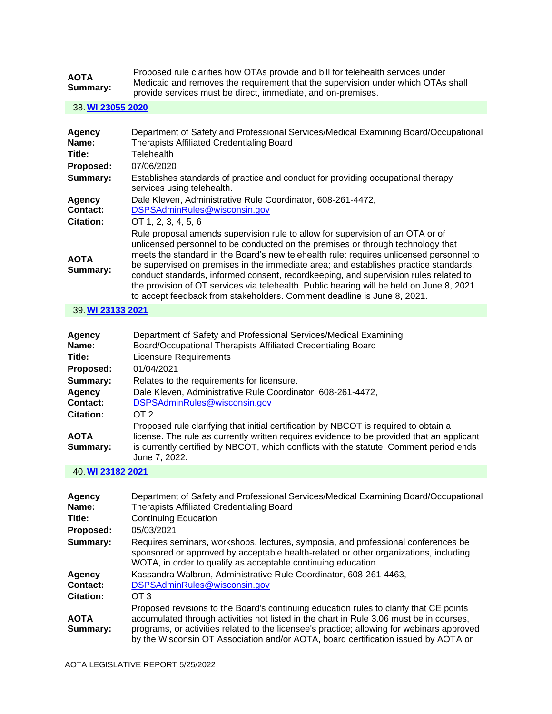| <b>AOTA</b><br>Summary: | Proposed rule clarifies how OTAs provide and bill for telehealth services under  |
|-------------------------|----------------------------------------------------------------------------------|
|                         | Medicaid and removes the requirement that the supervision under which OTAs shall |
|                         | provide services must be direct, immediate, and on-premises.                     |

38. **[WI 23055 2020](https://protect-us.mimecast.com/s/GNx6CW6KLMh5XPOrS9hxyQ?domain=custom.statenet.com)**

| Agency<br>Name:         | Department of Safety and Professional Services/Medical Examining Board/Occupational<br><b>Therapists Affiliated Credentialing Board</b>                                                                                                                                                                                                                                                                                                                                                                                                                                                                             |
|-------------------------|---------------------------------------------------------------------------------------------------------------------------------------------------------------------------------------------------------------------------------------------------------------------------------------------------------------------------------------------------------------------------------------------------------------------------------------------------------------------------------------------------------------------------------------------------------------------------------------------------------------------|
| Title:                  | <b>Telehealth</b>                                                                                                                                                                                                                                                                                                                                                                                                                                                                                                                                                                                                   |
| Proposed:               | 07/06/2020                                                                                                                                                                                                                                                                                                                                                                                                                                                                                                                                                                                                          |
| Summary:                | Establishes standards of practice and conduct for providing occupational therapy<br>services using telehealth.                                                                                                                                                                                                                                                                                                                                                                                                                                                                                                      |
| Agency                  | Dale Kleven, Administrative Rule Coordinator, 608-261-4472,                                                                                                                                                                                                                                                                                                                                                                                                                                                                                                                                                         |
| <b>Contact:</b>         | DSPSAdminRules@wisconsin.gov                                                                                                                                                                                                                                                                                                                                                                                                                                                                                                                                                                                        |
| <b>Citation:</b>        | OT 1, 2, 3, 4, 5, 6                                                                                                                                                                                                                                                                                                                                                                                                                                                                                                                                                                                                 |
| <b>AOTA</b><br>Summary: | Rule proposal amends supervision rule to allow for supervision of an OTA or of<br>unlicensed personnel to be conducted on the premises or through technology that<br>meets the standard in the Board's new telehealth rule; requires unlicensed personnel to<br>be supervised on premises in the immediate area; and establishes practice standards,<br>conduct standards, informed consent, recordkeeping, and supervision rules related to<br>the provision of OT services via telehealth. Public hearing will be held on June 8, 2021<br>to accept feedback from stakeholders. Comment deadline is June 8, 2021. |

39. **[WI 23133 2021](https://protect-us.mimecast.com/s/9o1YCXDXLNIXDq2Ec5fAmY?domain=custom.statenet.com)**

| <b>Agency</b>    | Department of Safety and Professional Services/Medical Examining                                        |
|------------------|---------------------------------------------------------------------------------------------------------|
| Name:            | Board/Occupational Therapists Affiliated Credentialing Board                                            |
| Title:           | Licensure Requirements                                                                                  |
| Proposed:        | 01/04/2021                                                                                              |
| Summary:         | Relates to the requirements for licensure.                                                              |
| Agency           | Dale Kleven, Administrative Rule Coordinator, 608-261-4472,                                             |
| Contact:         | DSPSAdminRules@wisconsin.gov                                                                            |
| <b>Citation:</b> | OT 2                                                                                                    |
|                  | Proposed rule clarifying that initial certification by NBCOT is required to obtain a                    |
| <b>AOTA</b>      | license. The rule as currently written requires evidence to be provided that an applicant               |
| Summary:         | is currently certified by NBCOT, which conflicts with the statute. Comment period ends<br>June 7, 2022. |

40. **[WI 23182 2021](https://protect-us.mimecast.com/s/o6LACYEYWOILpNMVtEjOEo?domain=custom.statenet.com)**

| Agency<br>Name:         | Department of Safety and Professional Services/Medical Examining Board/Occupational<br><b>Therapists Affiliated Credentialing Board</b>                                                                                                                                                                                                                               |
|-------------------------|-----------------------------------------------------------------------------------------------------------------------------------------------------------------------------------------------------------------------------------------------------------------------------------------------------------------------------------------------------------------------|
| Title:                  | <b>Continuing Education</b>                                                                                                                                                                                                                                                                                                                                           |
| Proposed:               | 05/03/2021                                                                                                                                                                                                                                                                                                                                                            |
| Summary:                | Requires seminars, workshops, lectures, symposia, and professional conferences be<br>sponsored or approved by acceptable health-related or other organizations, including<br>WOTA, in order to qualify as acceptable continuing education.                                                                                                                            |
| Agency                  | Kassandra Walbrun, Administrative Rule Coordinator, 608-261-4463,                                                                                                                                                                                                                                                                                                     |
| Contact:                | DSPSAdminRules@wisconsin.gov                                                                                                                                                                                                                                                                                                                                          |
| <b>Citation:</b>        | OT 3                                                                                                                                                                                                                                                                                                                                                                  |
| <b>AOTA</b><br>Summary: | Proposed revisions to the Board's continuing education rules to clarify that CE points<br>accumulated through activities not listed in the chart in Rule 3.06 must be in courses,<br>programs, or activities related to the licensee's practice; allowing for webinars approved<br>by the Wisconsin OT Association and/or AOTA, board certification issued by AOTA or |